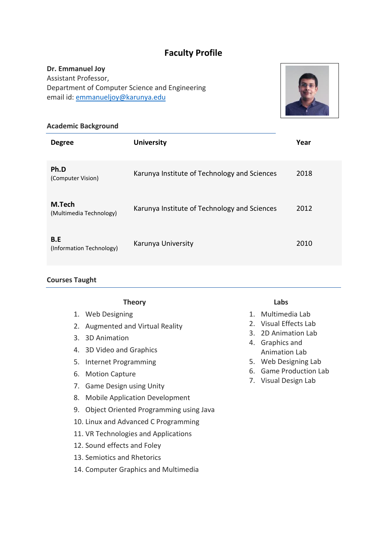# **Faculty Profile**

# **Dr. Emmanuel Joy**

Assistant Professor, Department of Computer Science and Engineering email id: [emmanueljoy@karunya.edu](mailto:emmanueljoy@karunya.edu)



#### **Academic Background**

| <b>Degree</b>                     | <b>University</b>                            | Year |
|-----------------------------------|----------------------------------------------|------|
| Ph.D<br>(Computer Vision)         | Karunya Institute of Technology and Sciences | 2018 |
| M.Tech<br>(Multimedia Technology) | Karunya Institute of Technology and Sciences | 2012 |
| B.E<br>(Information Technology)   | Karunya University                           | 2010 |

## **Courses Taught**

| <b>Theory</b>                                | Labs                                      |  |  |
|----------------------------------------------|-------------------------------------------|--|--|
| 1. Web Designing                             | Multimedia Lab<br>$1_{-}$                 |  |  |
| Augmented and Virtual Reality                | 2. Visual Effects Lab                     |  |  |
| 3D Animation<br>3.                           | 2D Animation Lab<br>3.<br>4. Graphics and |  |  |
| 4. 3D Video and Graphics                     | <b>Animation Lab</b>                      |  |  |
| 5. Internet Programming                      | 5. Web Designing Lab                      |  |  |
| <b>Motion Capture</b><br>6.                  | 6. Game Production Lab                    |  |  |
| <b>Game Design using Unity</b>               | 7. Visual Design Lab                      |  |  |
| <b>Mobile Application Development</b><br>8.  |                                           |  |  |
| Object Oriented Programming using Java<br>9. |                                           |  |  |
| 10. Linux and Advanced C Programming         |                                           |  |  |
| 11. VR Technologies and Applications         |                                           |  |  |

- 12. Sound effects and Foley
- 13. Semiotics and Rhetorics

14. Computer Graphics and Multimedia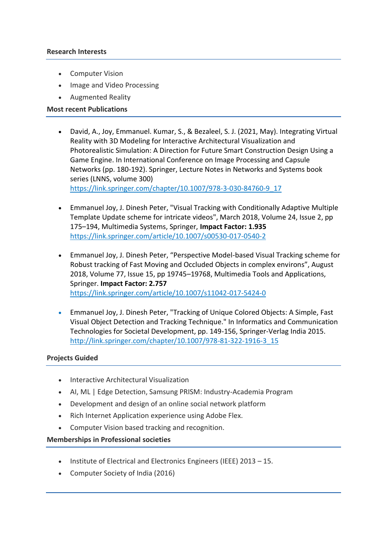#### **Research Interests**

- Computer Vision
- Image and Video Processing
- Augmented Reality

#### **Most recent Publications**

- David, A., Joy, Emmanuel. Kumar, S., & Bezaleel, S. J. (2021, May). Integrating Virtual Reality with 3D Modeling for Interactive Architectural Visualization and Photorealistic Simulation: A Direction for Future Smart Construction Design Using a Game Engine. In International Conference on Image Processing and Capsule Networks (pp. 180-192). Springer, Lecture Notes in Networks and Systems book series (LNNS, volume 300) [https://link.springer.com/chapter/10.1007/978-3-030-84760-9\\_17](https://link.springer.com/chapter/10.1007/978-3-030-84760-9_17)
- Emmanuel Joy, J. Dinesh Peter, "Visual Tracking with Conditionally Adaptive Multiple Template Update scheme for intricate videos", March 2018, Volume 24, Issue 2, pp 175–194, Multimedia Systems, Springer, **Impact Factor: 1.935** <https://link.springer.com/article/10.1007/s00530-017-0540-2>
- Emmanuel Joy, J. Dinesh Peter, "Perspective Model-based Visual Tracking scheme for Robust tracking of Fast Moving and Occluded Objects in complex environs", August 2018, Volume 77, Issue 15, pp 19745–19768, Multimedia Tools and Applications, Springer. **Impact Factor: 2.757** <https://link.springer.com/article/10.1007/s11042-017-5424-0>
- Emmanuel Joy, J. Dinesh Peter, "Tracking of Unique Colored Objects: A Simple, Fast Visual Object Detection and Tracking Technique." In Informatics and Communication Technologies for Societal Development, pp. 149-156, Springer-Verlag India 2015. [http://link.springer.com/chapter/10.1007/978-81-322-1916-3\\_15](http://link.springer.com/chapter/10.1007/978-81-322-1916-3_15)

## **Projects Guided**

- Interactive Architectural Visualization
- AI, ML | Edge Detection, Samsung PRISM: Industry-Academia Program
- Development and design of an online social network platform
- Rich Internet Application experience using Adobe Flex.
- Computer Vision based tracking and recognition.

## **Memberships in Professional societies**

- Institute of Electrical and Electronics Engineers (IEEE) 2013 15.
- Computer Society of India (2016)